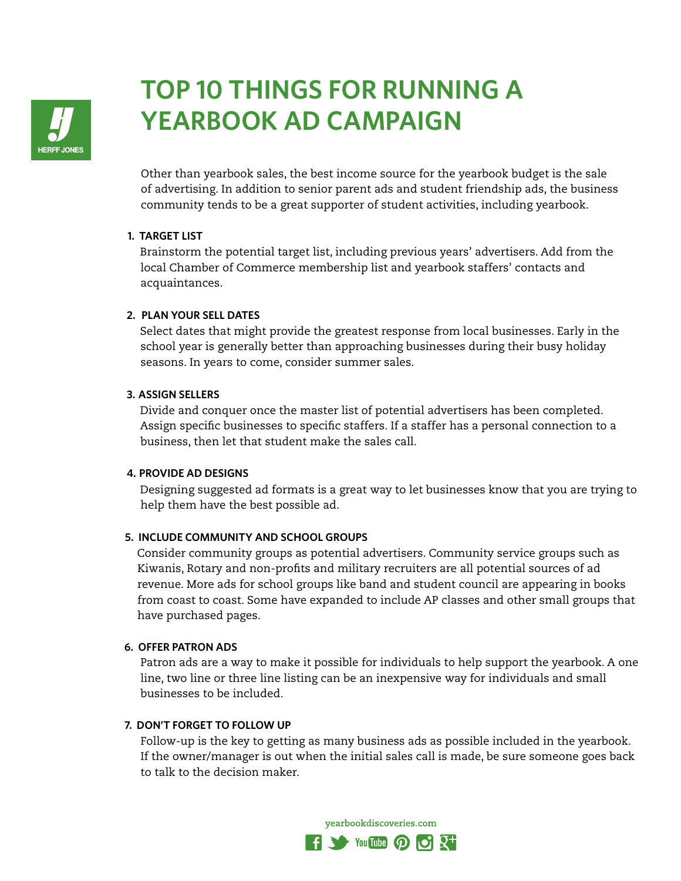

# **TOP 10 THINGS FOR RUNNING A YEARBOOK AD CAMPAIGN**

Other than yearbook sales, the best income source for the yearbook budget is the sale of advertising. In addition to senior parent ads and student friendship ads, the business community tends to be a great supporter of student activities, including yearbook.

#### **1. TARGET LIST**

 Brainstorm the potential target list, including previous years' advertisers. Add from the local Chamber of Commerce membership list and yearbook staffers' contacts and acquaintances.

# **2. PLAN YOUR SELL DATES**

 Select dates that might provide the greatest response from local businesses. Early in the school year is generally better than approaching businesses during their busy holiday seasons. In years to come, consider summer sales.

# **3. ASSIGN SELLERS**

 Divide and conquer once the master list of potential advertisers has been completed. Assign specific businesses to specific staffers. If a staffer has a personal connection to a business, then let that student make the sales call.

#### **4. PROVIDE AD DESIGNS**

 Designing suggested ad formats is a great way to let businesses know that you are trying to help them have the best possible ad.

# **5. INCLUDE COMMUNITY AND SCHOOL GROUPS**

 Consider community groups as potential advertisers. Community service groups such as Kiwanis, Rotary and non-profits and military recruiters are all potential sources of ad revenue. More ads for school groups like band and student council are appearing in books from coast to coast. Some have expanded to include AP classes and other small groups that have purchased pages.

#### **6. OFFER PATRON ADS**

 Patron ads are a way to make it possible for individuals to help support the yearbook. A one line, two line or three line listing can be an inexpensive way for individuals and small businesses to be included.

#### **7. DON'T FORGET TO FOLLOW UP**

 Follow-up is the key to getting as many business ads as possible included in the yearbook. If the owner/manager is out when the initial sales call is made, be sure someone goes back to talk to the decision maker.

yearbookdiscoveries.com